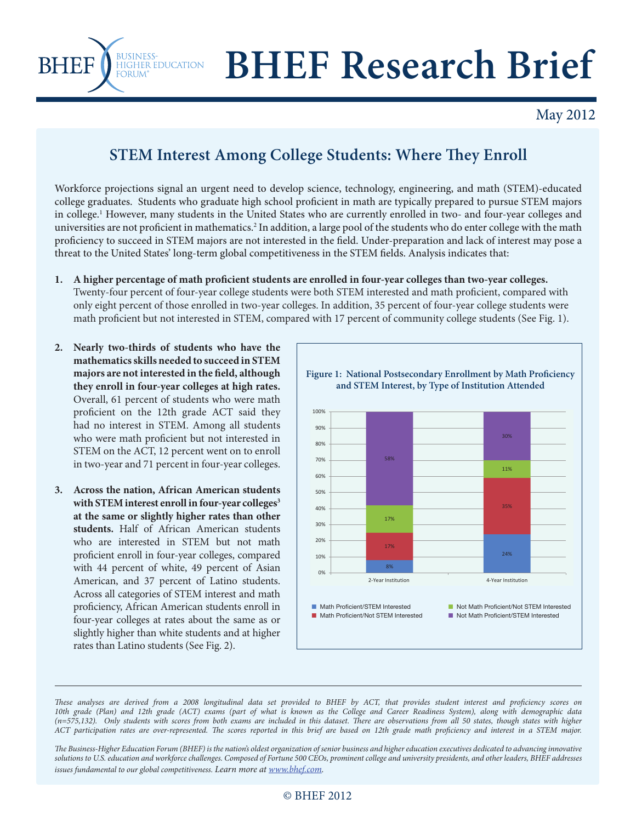

## **BUSINESSE DUCATION** BHEF Research Brief

## May 2012

## **STEM Interest Among College Students: Where They Enroll**

Workforce projections signal an urgent need to develop science, technology, engineering, and math (STEM)-educated college graduates. Students who graduate high school proficient in math are typically prepared to pursue STEM majors in college.<sup>1</sup> However, many students in the United States who are currently enrolled in two- and four-year colleges and universities are not proficient in mathematics.<sup>2</sup> In addition, a large pool of the students who do enter college with the math proficiency to succeed in STEM majors are not interested in the field. Under-preparation and lack of interest may pose a threat to the United States' long-term global competitiveness in the STEM fields. Analysis indicates that:

- 1. A higher percentage of math proficient students are enrolled in four-year colleges than two-year colleges. Twenty-four percent of four-year college students were both STEM interested and math proficient, compared with only eight percent of those enrolled in two-year colleges. In addition, 35 percent of four-year college students were math proficient but not interested in STEM, compared with 17 percent of community college students (See Fig. 1).
- **2. Nearly two-thirds of students who have the mathematics skills needed to succeed in STEM**  majors are not interested in the field, although **they enroll in four-year colleges at high rates.**  Overall, 61 percent of students who were math proficient on the 12th grade ACT said they had no interest in STEM. Among all students who were math proficient but not interested in STEM on the ACT, 12 percent went on to enroll in two-year and 71 percent in four-year colleges.
- **3. Across the nation, African American students**  with STEM interest enroll in four-year colleges<sup>3</sup> **at the same or slightly higher rates than other students.** Half of African American students who are interested in STEM but not math proficient enroll in four-year colleges, compared with 44 percent of white, 49 percent of Asian American, and 37 percent of Latino students. Across all categories of STEM interest and math proficiency, African American students enroll in four-year colleges at rates about the same as or slightly higher than white students and at higher rates than Latino students (See Fig. 2).



These analyses are derived from a 2008 longitudinal data set provided to BHEF by ACT, that provides student interest and proficiency scores on *10th grade (Plan) and 12th grade (ACT) exams (part of what is known as the College and Career Readiness System), along with demographic data*  (n=575,132). Only students with scores from both exams are included in this dataset. There are observations from all 50 states, though states with higher ACT participation rates are over-represented. The scores reported in this brief are based on 12th grade math proficiency and interest in a STEM major.

 *e Business-Higher Education Forum (BHEF) is the nation's oldest organization of senior business and higher education executives dedicated to advancing innovative solutions to U.S. education and workforce challenges. Composed of Fortune 500 CEOs, prominent college and university presidents, and other leaders, BHEF addresses issues fundamental to our global competitiveness. Learn more at www.bhef.com.*